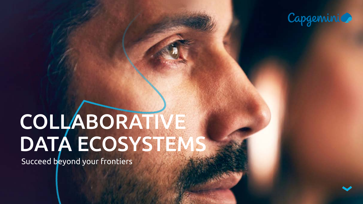# COLLABORATIVE DATA ECOSYSTEMS

Succeed beyond your frontiers



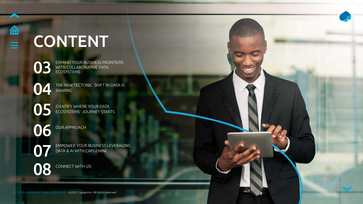

## CONTENT

[04](#page-3-0)

[05](#page-4-0)

[06](#page-5-0)

07

[03](#page-2-0) EXPAND YOUR BUSINESS FRONTIERS WITH COLLABORATIVE DATA ECOSYSTEMS

OUR APPROACH

THE NEW TECTONIC SHIFT IN DATA IS SHARING

[08](#page-7-0) CONNECT WITH US!

[EMPOWER YOUR BUSINESS LEVERAGING](#page-6-0)  DATA & AI WITH CAPGEMINI

IDENTIFY WHERE YOUR DATA ECOSYSTEMS' JOURNEY STARTS

2 COLLABORATIVE DATA ECOSYSTEMS I ©2021 Capgemini. All rights reserved.

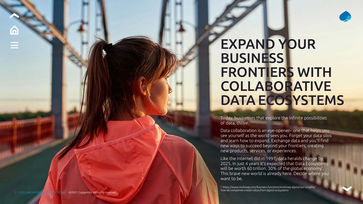### <span id="page-2-0"></span>EXPAND YOUR **BUSINESS** FRONTIERS WITH COLLABORATIVE DATA ECOSYSTEMS

Today, businesses that explore the infinite possibilities of data, thrive.

Data collaboration is an eye-opener– one that helps you see yourself as the world sees you. Forget your data silos and learn how to expand. Exchange data and you'll find new ways to succeed beyond your frontiers, creating new products, services, or experiences.

Like the Internet did in 1997, data heralds change by 2025. In just 4 years it's expected that Data Ecosystems will be worth 60 trillion, 30% of the global economy \* . This brave new world is already here. Decide where you want to be.

\* *https://www.mckinsey.com/business-functions/mckinsey-digital/our-insights/ how-do-companies-create-value-from-digital-ecosystems*

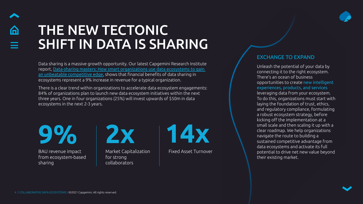Data sharing is a massive growth opportunity. Our latest Capgemini Research Institute report, [Data-sharing masters: How smart organizations use data ecosystems to gain](https://www.capgemini.com/research/data-sharing-masters/ )  [an unbeatable competitive edge](https://www.capgemini.com/research/data-sharing-masters/ ), shows that financial benefits of data sharing in ecosystems represent a 9% increase in revenue for a typical organization.

There is a clear trend within organizations to accelerate data ecosystem engagements: 84% of organizations plan to launch new data ecosystem initiatives within the next three years. One in four organizations (25%) will invest upwards of \$50m in data ecosystems in the next 2-3 years.

### EXCHANGE TO EXPAND



Market Capitalization | Fixed Asset Turnover for strong collaborators

Unleash the potential of your data by connecting it to the right ecosystem. There's an ocean of business opportunities to create new intelligent experiences, products, and services leveraging data from your ecosystem. To do this, organizations must start with laying the foundation of trust, ethics, and regulatory compliance, formulating a robust ecosystem strategy, before kicking off the implementation at a small scale and then scaling it up with a clear roadmap. We help organizations navigate the route to building a sustained competitive advantage from data ecosystems and activate its full potential to drive net new value beyond their existing market.

**9% 2x 14x**

BAU revenue impact from ecosystem-based sharing



### <span id="page-3-0"></span>THE NEW TECTONIC SHIFT IN DATA IS SHARING

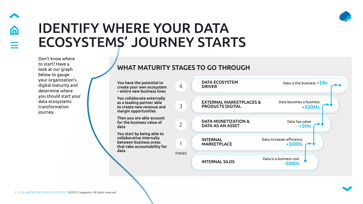Don't know where to start? Have a look at our graph below to gauge your organization's digital maturity and determine where you should start your data ecosystems transformation journey.

### <span id="page-4-0"></span>IDENTIFY WHERE YOUR DATA ECOSYSTEMS' JOURNEY STARTS

You have the potential to create your own ecosystem – entire new business lines

You collaborate externally as a leading partner able to create new revenue and margin opportunities

Then you are able account for the business value of data

| 4             | <b>DATA ECOSYSTEM</b><br><b>DRIVER</b>                        | D               |
|---------------|---------------------------------------------------------------|-----------------|
| 3             | <b>EXTERNAL MARKETPLACES &amp;</b><br><b>PRODUCTS DIGITAL</b> | Data            |
| 2             | <b>DATA MONETIZATION &amp;</b><br><b>DATA AS AN ASSET</b>     |                 |
|               | <b>INTERNAL</b><br><b>MARKETPLACE</b>                         | Data increases  |
| <b>STAGES</b> | <b>INTERNAL SILOS</b>                                         | Data is a busin |

You start by being able to collaborative internally between business areas that take accountability for data

### WHAT MATURITY STAGES TO GO THROUGH





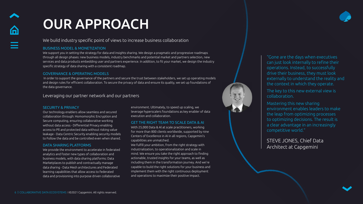### We build industry specific point of views to increase business collaboration

### BUSINESS MODEL & MONETIZATION

We support you in setting the strategy for data and insights sharing. We design a pragmatic and progressive roadmaps through all design phases: new business models, industry benchmarks and potential market and partners selection, new services and data products embedding user and partners experience. In addition, to fit your market, we design the industry specific strategy of data sharing with a consistent roadmap.

### GOVERNANCE & OPERATING MODELS

 In order to support the governance of the partners and secure the trust between stakeholders, we set up operating models and design rules for efficient collaboration. To secure the privacy of data and ensure its quality, we set up foundations of the data governance.

### Leveraging our partner network and our partners

<span id="page-5-0"></span>

### OUR APPROACH

### SECURITY & PRIVACY

Our technology enablers allow seamless and secured collaboration through: Homomorphic Encryption and Secure computing, ensuring collaborative working without data access - Differential Privacy enabling access to Pll and protected data without risking value leakage - Data Centric Security enabling security models to Follow the data and be controlled even when shared.

### DATA SHARING PLATFORMS

We provide the environment to accelerate in federated analytics and foster new types of collaboration and business models, with data sharing platforms: Data Marketplaces to publish and contractually manage data sharing - Data Mesh architectures and Federated learning capabilities that allow access to federated data and provisioning into purpose driven collaborative

environment. Ultimately, to speed up scaling, we leverage hyperscalers foundations as key enabler of data execution and collaboration.

### GET THE RIGHT TEAM TO SCALE DATA & AI

With 25,000 Data & Al at scale practitioners, working for more than 800 clients worldwide, supported by nine Centers of Excellence in AI in all regions, Capgemini's capabilities are unmatched.

We fulfill your ambition, from the right strategy with industrialization, to operationalization and scale in mind. We ensure you take the right approach to finding actionable, trusted insights for your teams, as well as including them in the transformation journey. And we're capable to build the right solutions for your business and implement them with the right continuous deployment and operations to maximize their positive impact.



### "Gone are the days when executives can just look internally to refine their operations. Instead, to successfully drive their business, they must look externally to understand the reality and the context in which they operate.

The key to this new external view is



collaboration.

Mastering this new sharing environment enables leaders to make the leap from optimizing processes to optimizing decisions. The result is a clear advantage in an increasingly competitive world."

STEVE JONES, Chief Data Architect at Capgemini

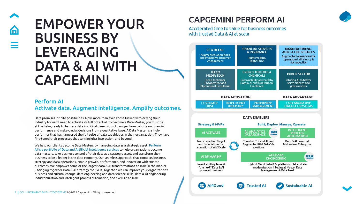### Perform AI Activate data. Augment intelligence. Amplify outcomes.

# <span id="page-6-0"></span>n

### EMPOWER YOUR BUSINESS BY LEVERAGING DATA & AI WITH CAPGEMINI

Data promises infinite possibilities. Now, more than ever, those tasked with driving their industry forward, need to activate its full potential. To become a Data Master, you must be at the helm, ready to harness data in critical dimensions, to outperform cohorts on financial performance and make crucial decisions from a qualitative base. A Data Master is a highperformer that has harnessed the full suite of data capabilities in their organization. They have fine-tuned their processes that turn insights into action, and beyond.

We help our clients become Data Masters by managing data as a strategic asset. Perform AI is a portfolio of Data and Artificial Intelligence services to help organizations become data masters, take business control of their data as a strategic asset, and transform their business to be a leader in the data economy. Our seamless approach, that connects business strategy and data operations, enable growth, performance, and innovation with trusted outcomes. We empower some of the largest data & AI transformations at scale in the market – bringing together Data & AI strategy for CxOs. Together, we can improve your organization's business and cultural change, data engineering and data science skills, data & AI engineering industrialization and intelligent process automation, and execute at scale.

### **CAPGEMINI PERFORM AI**

Accelerated time to value for business outcomes with trusted Data & AI at scale







### **MANUFACTURING, AUTO & LIFE SCIENCES** Augmented operations for

operational efficiency & risk reduction

### **PUBLIC SECTOR**

Infusing AI to better serve citizens and governments

### **DATA ADVANTAGE**

**COLLABORATIVE DATA ECOSYSTEMS** 

**INTELLIGENT PROCESS AUTOMATION** 

Data & AI powered **Frictionless Enterprise** 

**IDEA** 

### **Sustainable AI**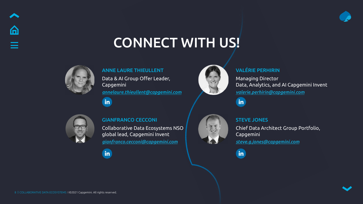<span id="page-7-0"></span>

### CONNECT WITH US!



### ANNE LAURE THIEULLENT

Data & AI Group Offer Leader, Capgemini *[annelaure.thieullent@capgemini.com](mailto:annelaure.thieullent%40capgemini.com?subject=)*



### VALÉRIE PERHIRIN

Managing Director Data, Analytics, and AI Capgemini Invent *[valerie.perhirin@capgemini.com](mailto:valerie.perhirin%40capgemini.com?subject=)*



### GIANFRANCO CECCONI

Collaborative Data Ecosystems NSO global lead, Capgemini Invent *[gianfranco.cecconi@capgemini.com](mailto:gianfranco.cecconi%40capgemini.com?subject=)*







Chief Data Architect Group Portfolio, Capgemini *[steve.g.jones@capgemini.com](mailto:steve.g.jones%40capgemini.com?subject=)*

 $\mathbf{in}$